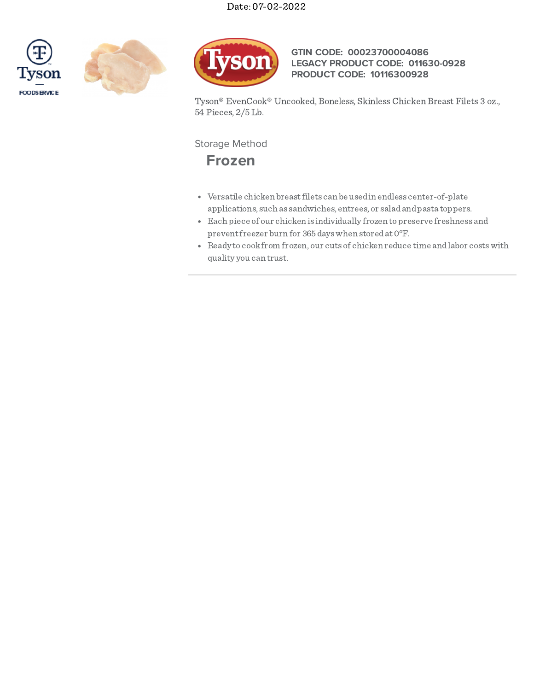





## **GTIN CODE: 00023700004086 LEGACY PRODUCT CODE: 011630-0928 PRODUCT CODE: 10116300928**

Tyson® EvenCook® Uncooked, Boneless, Skinless Chicken Breast Filets 3 oz., 54 Pieces, 2/5 Lb.

# Storage Method

**Frozen**

- Versatile chicken breastfilets can be usedin endless center-of-plate applications, such as sandwiches, entrees, or saladandpasta toppers.
- Each piece of our chicken is individually frozen topreserve freshness and preventfreezer burn for 365dayswhen storedat 0°F.
- Ready to cookfrom frozen, our cuts of chicken reduce time andlabor costswith quality you can trust.